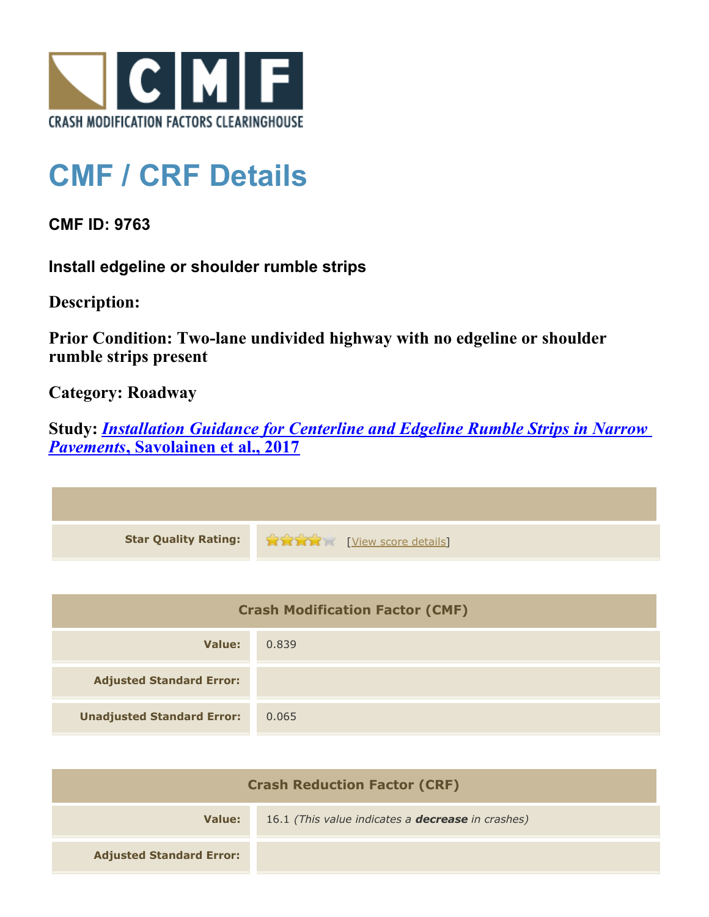

## **CMF / CRF Details**

**CMF ID: 9763**

**Install edgeline or shoulder rumble strips**

**Description:** 

**Prior Condition: Two-lane undivided highway with no edgeline or shoulder rumble strips present**

**Category: Roadway**

**Study:** *[Installation Guidance for Centerline and Edgeline Rumble Strips in Narrow](http://www.cmfclearinghouse.org/study_detail.cfm?stid=544) [Pavements](http://www.cmfclearinghouse.org/study_detail.cfm?stid=544)***[, Savolainen et al., 2017](http://www.cmfclearinghouse.org/study_detail.cfm?stid=544)**

| <b>Star Quality Rating:</b> | View score details |
|-----------------------------|--------------------|

| <b>Crash Modification Factor (CMF)</b> |       |
|----------------------------------------|-------|
| Value:                                 | 0.839 |
| <b>Adjusted Standard Error:</b>        |       |
| <b>Unadjusted Standard Error:</b>      | 0.065 |

| <b>Crash Reduction Factor (CRF)</b> |                                                          |
|-------------------------------------|----------------------------------------------------------|
| Value:                              | 16.1 (This value indicates a <b>decrease</b> in crashes) |
| <b>Adjusted Standard Error:</b>     |                                                          |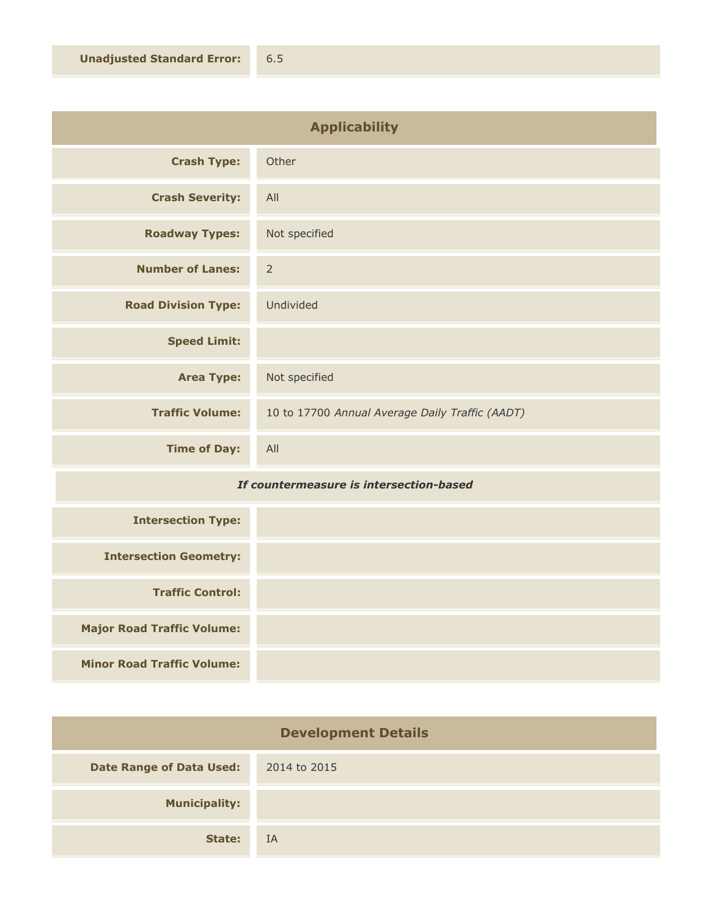| <b>Applicability</b>       |                                                 |
|----------------------------|-------------------------------------------------|
| <b>Crash Type:</b>         | Other                                           |
| <b>Crash Severity:</b>     | All                                             |
| <b>Roadway Types:</b>      | Not specified                                   |
| <b>Number of Lanes:</b>    | $\overline{2}$                                  |
| <b>Road Division Type:</b> | Undivided                                       |
| <b>Speed Limit:</b>        |                                                 |
| <b>Area Type:</b>          | Not specified                                   |
| <b>Traffic Volume:</b>     | 10 to 17700 Annual Average Daily Traffic (AADT) |
| <b>Time of Day:</b>        | All                                             |

## *If countermeasure is intersection-based*

| <b>Intersection Type:</b>         |  |
|-----------------------------------|--|
| <b>Intersection Geometry:</b>     |  |
| <b>Traffic Control:</b>           |  |
| <b>Major Road Traffic Volume:</b> |  |
| <b>Minor Road Traffic Volume:</b> |  |

| <b>Development Details</b>      |              |
|---------------------------------|--------------|
| <b>Date Range of Data Used:</b> | 2014 to 2015 |
| <b>Municipality:</b>            |              |
| State:                          | IA           |